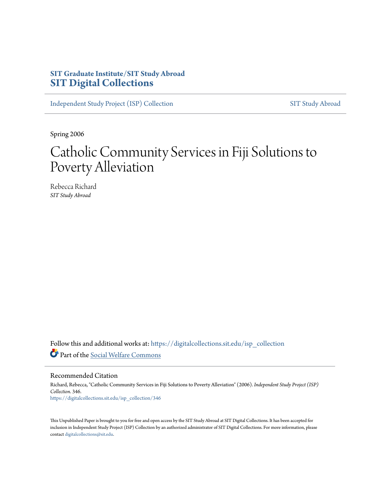# **SIT Graduate Institute/SIT Study Abroad [SIT Digital Collections](https://digitalcollections.sit.edu?utm_source=digitalcollections.sit.edu%2Fisp_collection%2F346&utm_medium=PDF&utm_campaign=PDFCoverPages)**

[Independent Study Project \(ISP\) Collection](https://digitalcollections.sit.edu/isp_collection?utm_source=digitalcollections.sit.edu%2Fisp_collection%2F346&utm_medium=PDF&utm_campaign=PDFCoverPages) [SIT Study Abroad](https://digitalcollections.sit.edu/study_abroad?utm_source=digitalcollections.sit.edu%2Fisp_collection%2F346&utm_medium=PDF&utm_campaign=PDFCoverPages)

Spring 2006

# Catholic Community Services in Fiji Solutions to Poverty Alleviation

Rebecca Richard *SIT Study Abroad*

Follow this and additional works at: [https://digitalcollections.sit.edu/isp\\_collection](https://digitalcollections.sit.edu/isp_collection?utm_source=digitalcollections.sit.edu%2Fisp_collection%2F346&utm_medium=PDF&utm_campaign=PDFCoverPages) Part of the [Social Welfare Commons](http://network.bepress.com/hgg/discipline/401?utm_source=digitalcollections.sit.edu%2Fisp_collection%2F346&utm_medium=PDF&utm_campaign=PDFCoverPages)

Recommended Citation

Richard, Rebecca, "Catholic Community Services in Fiji Solutions to Poverty Alleviation" (2006). *Independent Study Project (ISP) Collection*. 346. [https://digitalcollections.sit.edu/isp\\_collection/346](https://digitalcollections.sit.edu/isp_collection/346?utm_source=digitalcollections.sit.edu%2Fisp_collection%2F346&utm_medium=PDF&utm_campaign=PDFCoverPages)

This Unpublished Paper is brought to you for free and open access by the SIT Study Abroad at SIT Digital Collections. It has been accepted for inclusion in Independent Study Project (ISP) Collection by an authorized administrator of SIT Digital Collections. For more information, please contact [digitalcollections@sit.edu](mailto:digitalcollections@sit.edu).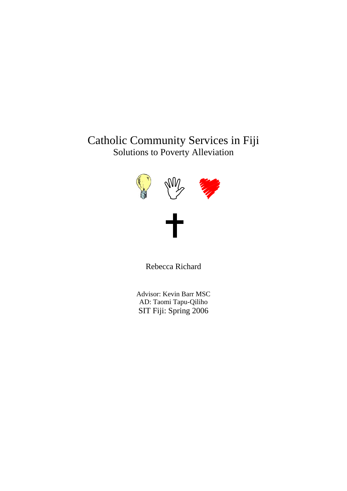# Catholic Community Services in Fiji Solutions to Poverty Alleviation



Rebecca Richard

Advisor: Kevin Barr MSC AD: Taomi Tapu-Qiliho SIT Fiji: Spring 2006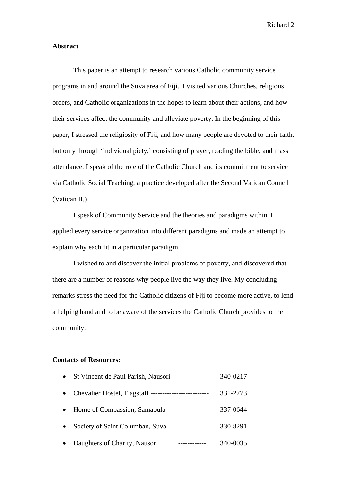#### **Abstract**

 This paper is an attempt to research various Catholic community service programs in and around the Suva area of Fiji. I visited various Churches, religious orders, and Catholic organizations in the hopes to learn about their actions, and how their services affect the community and alleviate poverty. In the beginning of this paper, I stressed the religiosity of Fiji, and how many people are devoted to their faith, but only through 'individual piety,' consisting of prayer, reading the bible, and mass attendance. I speak of the role of the Catholic Church and its commitment to service via Catholic Social Teaching, a practice developed after the Second Vatican Council (Vatican II.)

I speak of Community Service and the theories and paradigms within. I applied every service organization into different paradigms and made an attempt to explain why each fit in a particular paradigm.

I wished to and discover the initial problems of poverty, and discovered that there are a number of reasons why people live the way they live. My concluding remarks stress the need for the Catholic citizens of Fiji to become more active, to lend a helping hand and to be aware of the services the Catholic Church provides to the community.

#### **Contacts of Resources:**

|           | St Vincent de Paul Parish, Nausori               | 340-0217 |
|-----------|--------------------------------------------------|----------|
| $\bullet$ |                                                  | 331-2773 |
|           | Home of Compassion, Samabula ------------------  | 337-0644 |
|           | Society of Saint Columban, Suva ---------------- | 330-8291 |
|           | Daughters of Charity, Nausori                    | 340-0035 |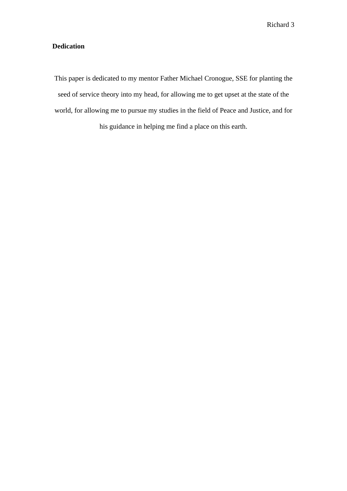# **Dedication**

This paper is dedicated to my mentor Father Michael Cronogue, SSE for planting the seed of service theory into my head, for allowing me to get upset at the state of the world, for allowing me to pursue my studies in the field of Peace and Justice, and for his guidance in helping me find a place on this earth.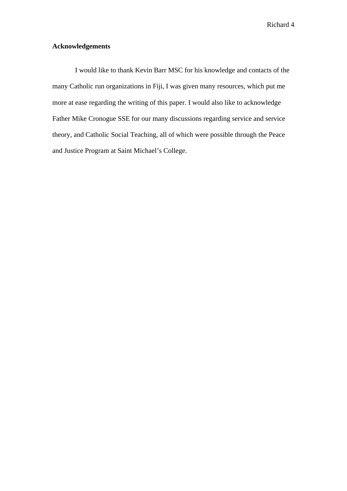## **Acknowledgements**

 I would like to thank Kevin Barr MSC for his knowledge and contacts of the many Catholic run organizations in Fiji, I was given many resources, which put me more at ease regarding the writing of this paper. I would also like to acknowledge Father Mike Cronogue SSE for our many discussions regarding service and service theory, and Catholic Social Teaching, all of which were possible through the Peace and Justice Program at Saint Michael's College.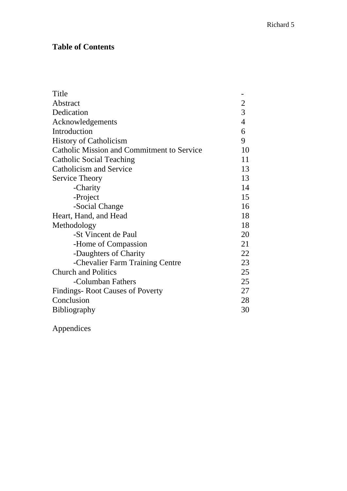# **Table of Contents**

| Title                                             |                                            |  |
|---------------------------------------------------|--------------------------------------------|--|
| Abstract                                          |                                            |  |
| Dedication                                        | $\begin{array}{c} 2 \\ 3 \\ 4 \end{array}$ |  |
| Acknowledgements                                  |                                            |  |
| Introduction                                      | 6                                          |  |
| <b>History of Catholicism</b>                     | 9                                          |  |
| <b>Catholic Mission and Commitment to Service</b> | 10                                         |  |
| <b>Catholic Social Teaching</b>                   | 11                                         |  |
| Catholicism and Service                           | 13                                         |  |
| Service Theory                                    | 13                                         |  |
| -Charity                                          | 14                                         |  |
| -Project                                          | 15                                         |  |
| -Social Change                                    | 16                                         |  |
| Heart, Hand, and Head                             |                                            |  |
| Methodology                                       |                                            |  |
| -St Vincent de Paul                               | 20                                         |  |
| -Home of Compassion                               | 21                                         |  |
| -Daughters of Charity                             | 22                                         |  |
| -Chevalier Farm Training Centre                   | 23                                         |  |
| <b>Church and Politics</b>                        | 25                                         |  |
| -Columban Fathers                                 | 25                                         |  |
| Findings-Root Causes of Poverty                   |                                            |  |
| Conclusion                                        |                                            |  |
| <b>Bibliography</b>                               |                                            |  |

Appendices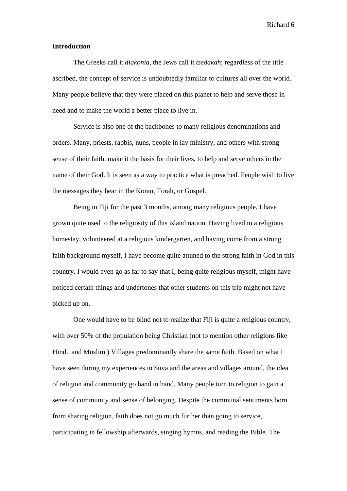#### **Introduction**

The Greeks call it *diakonia*, the Jews call it *tsedakah*; regardless of the title ascribed, the concept of service is undoubtedly familiar to cultures all over the world. Many people believe that they were placed on this planet to help and serve those in need and to make the world a better place to live in.

Service is also one of the backbones to many religious denominations and orders. Many, priests, rabbis, nuns, people in lay ministry, and others with strong sense of their faith, make it the basis for their lives, to help and serve others in the name of their God. It is seen as a way to practice what is preached. People wish to live the messages they hear in the Koran, Torah, or Gospel.

Being in Fiji for the past 3 months, among many religious people, I have grown quite used to the religiosity of this island nation. Having lived in a religious homestay, volunteered at a religious kindergarten, and having come from a strong faith background myself, I have become quite attuned to the strong faith in God in this country. I would even go as far to say that I, being quite religious myself, might have noticed certain things and undertones that other students on this trip might not have picked up on.

One would have to be blind not to realize that Fiji is quite a religious country, with over 50% of the population being Christian (not to mention other religions like Hindu and Muslim.) Villages predominantly share the same faith. Based on what I have seen during my experiences in Suva and the areas and villages around, the idea of religion and community go hand in hand. Many people turn to religion to gain a sense of community and sense of belonging. Despite the communal sentiments born from sharing religion, faith does not go much further than going to service, participating in fellowship afterwards, singing hymns, and reading the Bible. The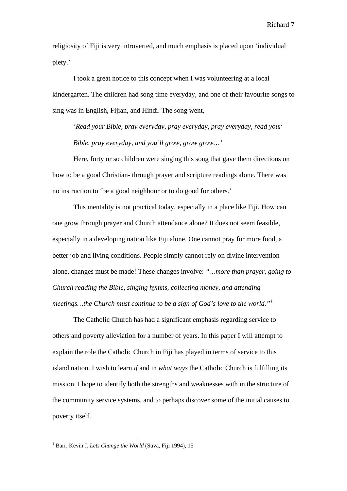religiosity of Fiji is very introverted, and much emphasis is placed upon 'individual piety.'

I took a great notice to this concept when I was volunteering at a local kindergarten. The children had song time everyday, and one of their favourite songs to sing was in English, Fijian, and Hindi. The song went,

*'Read your Bible, pray everyday, pray everyday, pray everyday, read your Bible, pray everyday, and you'll grow, grow grow…'* 

Here, forty or so children were singing this song that gave them directions on how to be a good Christian- through prayer and scripture readings alone. There was no instruction to 'be a good neighbour or to do good for others.'

This mentality is not practical today, especially in a place like Fiji. How can one grow through prayer and Church attendance alone? It does not seem feasible, especially in a developing nation like Fiji alone. One cannot pray for more food, a better job and living conditions. People simply cannot rely on divine intervention alone, changes must be made! These changes involve: *"…more than prayer, going to Church reading the Bible, singing hymns, collecting money, and attending meetings…the Church must continue to be a sign of God's love to the world."[1](#page-7-0)*

The Catholic Church has had a significant emphasis regarding service to others and poverty alleviation for a number of years. In this paper I will attempt to explain the role the Catholic Church in Fiji has played in terms of service to this island nation. I wish to learn *if* and in *what ways* the Catholic Church is fulfilling its mission. I hope to identify both the strengths and weaknesses with in the structure of the community service systems, and to perhaps discover some of the initial causes to poverty itself.

<span id="page-7-0"></span><sup>&</sup>lt;sup>1</sup> Barr, Kevin J, *Lets Change the World* (Suva, Fiji 1994), 15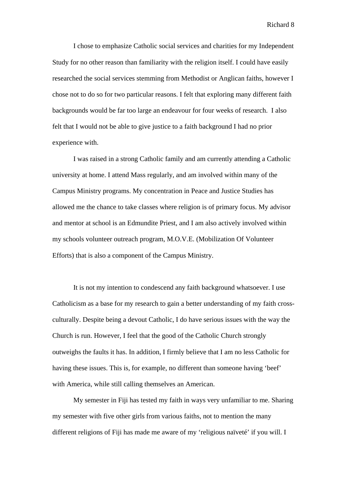I chose to emphasize Catholic social services and charities for my Independent Study for no other reason than familiarity with the religion itself. I could have easily researched the social services stemming from Methodist or Anglican faiths, however I chose not to do so for two particular reasons. I felt that exploring many different faith backgrounds would be far too large an endeavour for four weeks of research. I also felt that I would not be able to give justice to a faith background I had no prior experience with.

I was raised in a strong Catholic family and am currently attending a Catholic university at home. I attend Mass regularly, and am involved within many of the Campus Ministry programs. My concentration in Peace and Justice Studies has allowed me the chance to take classes where religion is of primary focus. My advisor and mentor at school is an Edmundite Priest, and I am also actively involved within my schools volunteer outreach program, M.O.V.E. (Mobilization Of Volunteer Efforts) that is also a component of the Campus Ministry.

 It is not my intention to condescend any faith background whatsoever. I use Catholicism as a base for my research to gain a better understanding of my faith crossculturally. Despite being a devout Catholic, I do have serious issues with the way the Church is run. However, I feel that the good of the Catholic Church strongly outweighs the faults it has. In addition, I firmly believe that I am no less Catholic for having these issues. This is, for example, no different than someone having 'beef' with America, while still calling themselves an American.

My semester in Fiji has tested my faith in ways very unfamiliar to me. Sharing my semester with five other girls from various faiths, not to mention the many different religions of Fiji has made me aware of my 'religious naïveté' if you will. I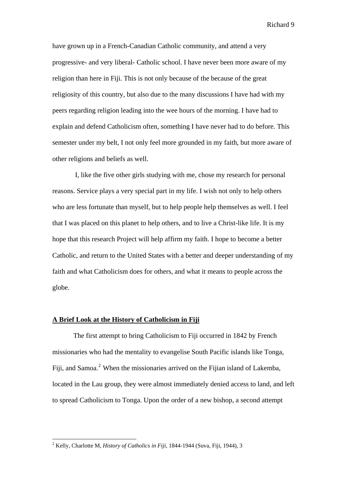have grown up in a French-Canadian Catholic community, and attend a very progressive- and very liberal- Catholic school. I have never been more aware of my religion than here in Fiji. This is not only because of the because of the great religiosity of this country, but also due to the many discussions I have had with my peers regarding religion leading into the wee hours of the morning. I have had to explain and defend Catholicism often, something I have never had to do before. This semester under my belt, I not only feel more grounded in my faith, but more aware of other religions and beliefs as well.

 I, like the five other girls studying with me, chose my research for personal reasons. Service plays a very special part in my life. I wish not only to help others who are less fortunate than myself, but to help people help themselves as well. I feel that I was placed on this planet to help others, and to live a Christ-like life. It is my hope that this research Project will help affirm my faith. I hope to become a better Catholic, and return to the United States with a better and deeper understanding of my faith and what Catholicism does for others, and what it means to people across the globe.

#### **A Brief Look at the History of Catholicism in Fiji**

 The first attempt to bring Catholicism to Fiji occurred in 1842 by French missionaries who had the mentality to evangelise South Pacific islands like Tonga, Fiji, and Samoa.<sup>[2](#page-9-0)</sup> When the missionaries arrived on the Fijian island of Lakemba, located in the Lau group, they were almost immediately denied access to land, and left to spread Catholicism to Tonga. Upon the order of a new bishop, a second attempt

<span id="page-9-0"></span> 2 Kelly, Charlotte M, *History of Catholics in Fiji*, 1844-1944 (Suva, Fiji, 1944), 3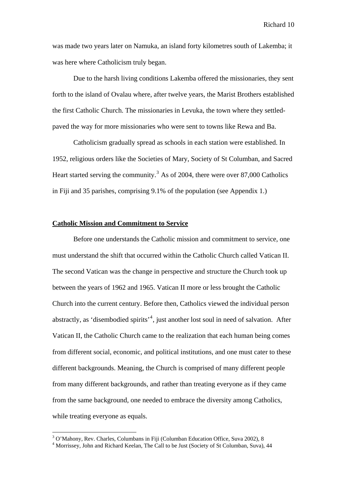was made two years later on Namuka, an island forty kilometres south of Lakemba; it was here where Catholicism truly began.

 Due to the harsh living conditions Lakemba offered the missionaries, they sent forth to the island of Ovalau where, after twelve years, the Marist Brothers established the first Catholic Church. The missionaries in Levuka, the town where they settledpaved the way for more missionaries who were sent to towns like Rewa and Ba.

 Catholicism gradually spread as schools in each station were established. In 1952, religious orders like the Societies of Mary, Society of St Columban, and Sacred Heart started serving the community.<sup>[3](#page-10-0)</sup> As of 2004, there were over 87,000 Catholics in Fiji and 35 parishes, comprising 9.1% of the population (see Appendix 1.)

#### **Catholic Mission and Commitment to Service**

 Before one understands the Catholic mission and commitment to service, one must understand the shift that occurred within the Catholic Church called Vatican II. The second Vatican was the change in perspective and structure the Church took up between the years of 1962 and 1965. Vatican II more or less brought the Catholic Church into the current century. Before then, Catholics viewed the individual person abstractly, as 'disembodied spirits'<sup>[4](#page-10-1)</sup>, just another lost soul in need of salvation. After Vatican II, the Catholic Church came to the realization that each human being comes from different social, economic, and political institutions, and one must cater to these different backgrounds. Meaning, the Church is comprised of many different people from many different backgrounds, and rather than treating everyone as if they came from the same background, one needed to embrace the diversity among Catholics, while treating everyone as equals.

<sup>&</sup>lt;sup>3</sup> O'Mahony, Rev. Charles, Columbans in Fiji (Columban Education Office, Suva 2002), 8

<span id="page-10-1"></span><span id="page-10-0"></span><sup>&</sup>lt;sup>4</sup> Morrissey, John and Richard Keelan, The Call to be Just (Society of St Columban, Suva), 44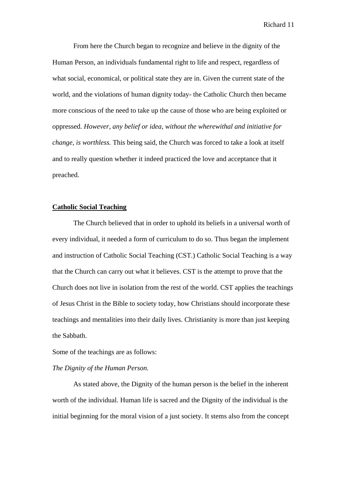From here the Church began to recognize and believe in the dignity of the Human Person, an individuals fundamental right to life and respect, regardless of what social, economical, or political state they are in. Given the current state of the world, and the violations of human dignity today- the Catholic Church then became more conscious of the need to take up the cause of those who are being exploited or oppressed. *However, any belief or idea, without the wherewithal and initiative for change, is worthless.* This being said, the Church was forced to take a look at itself and to really question whether it indeed practiced the love and acceptance that it preached.

### **Catholic Social Teaching**

 The Church believed that in order to uphold its beliefs in a universal worth of every individual, it needed a form of curriculum to do so. Thus began the implement and instruction of Catholic Social Teaching (CST.) Catholic Social Teaching is a way that the Church can carry out what it believes. CST is the attempt to prove that the Church does not live in isolation from the rest of the world. CST applies the teachings of Jesus Christ in the Bible to society today, how Christians should incorporate these teachings and mentalities into their daily lives. Christianity is more than just keeping the Sabbath.

Some of the teachings are as follows:

## *The Dignity of the Human Person.*

 As stated above, the Dignity of the human person is the belief in the inherent worth of the individual. Human life is sacred and the Dignity of the individual is the initial beginning for the moral vision of a just society. It stems also from the concept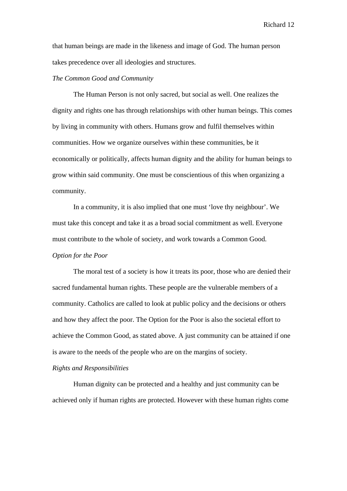that human beings are made in the likeness and image of God. The human person takes precedence over all ideologies and structures.

#### *The Common Good and Community*

The Human Person is not only sacred, but social as well. One realizes the dignity and rights one has through relationships with other human beings. This comes by living in community with others. Humans grow and fulfil themselves within communities. How we organize ourselves within these communities, be it economically or politically, affects human dignity and the ability for human beings to grow within said community. One must be conscientious of this when organizing a community.

In a community, it is also implied that one must 'love thy neighbour'. We must take this concept and take it as a broad social commitment as well. Everyone must contribute to the whole of society, and work towards a Common Good. *Option for the Poor* 

 The moral test of a society is how it treats its poor, those who are denied their sacred fundamental human rights. These people are the vulnerable members of a community. Catholics are called to look at public policy and the decisions or others and how they affect the poor. The Option for the Poor is also the societal effort to achieve the Common Good, as stated above. A just community can be attained if one is aware to the needs of the people who are on the margins of society.

#### *Rights and Responsibilities*

 Human dignity can be protected and a healthy and just community can be achieved only if human rights are protected. However with these human rights come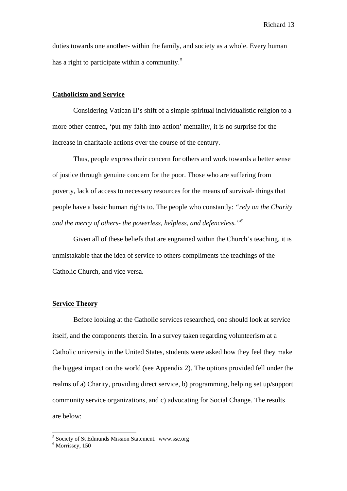duties towards one another- within the family, and society as a whole. Every human has a right to participate within a community.<sup>[5](#page-13-0)</sup>

#### **Catholicism and Service**

 Considering Vatican II's shift of a simple spiritual individualistic religion to a more other-centred, 'put-my-faith-into-action' mentality, it is no surprise for the increase in charitable actions over the course of the century.

 Thus, people express their concern for others and work towards a better sense of justice through genuine concern for the poor. Those who are suffering from poverty, lack of access to necessary resources for the means of survival- things that people have a basic human rights to. The people who constantly: *"rely on the Charity and the mercy of others- the powerless, helpless, and defenceless."[6](#page-13-1)*

Given all of these beliefs that are engrained within the Church's teaching, it is unmistakable that the idea of service to others compliments the teachings of the Catholic Church, and vice versa.

## **Service Theory**

Before looking at the Catholic services researched, one should look at service itself, and the components therein. In a survey taken regarding volunteerism at a Catholic university in the United States, students were asked how they feel they make the biggest impact on the world (see Appendix 2). The options provided fell under the realms of a) Charity, providing direct service, b) programming, helping set up/support community service organizations, and c) advocating for Social Change. The results are below:

 5 Society of St Edmunds Mission Statement. www.sse.org

<span id="page-13-1"></span><span id="page-13-0"></span><sup>6</sup> Morrissey, 150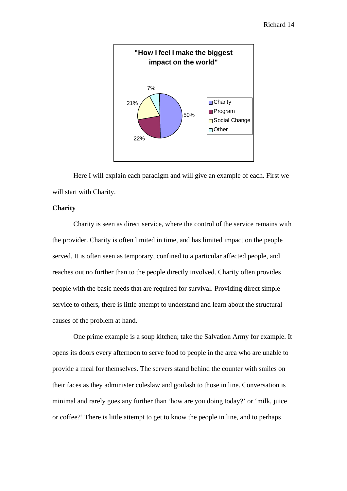

Here I will explain each paradigm and will give an example of each. First we will start with Charity.

## **Charity**

Charity is seen as direct service, where the control of the service remains with the provider. Charity is often limited in time, and has limited impact on the people served. It is often seen as temporary, confined to a particular affected people, and reaches out no further than to the people directly involved. Charity often provides people with the basic needs that are required for survival. Providing direct simple service to others, there is little attempt to understand and learn about the structural causes of the problem at hand.

One prime example is a soup kitchen; take the Salvation Army for example. It opens its doors every afternoon to serve food to people in the area who are unable to provide a meal for themselves. The servers stand behind the counter with smiles on their faces as they administer coleslaw and goulash to those in line. Conversation is minimal and rarely goes any further than 'how are you doing today?' or 'milk, juice or coffee?' There is little attempt to get to know the people in line, and to perhaps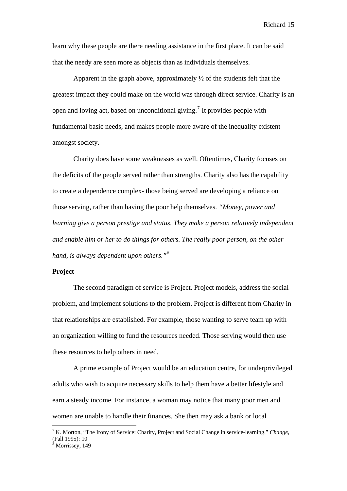learn why these people are there needing assistance in the first place. It can be said that the needy are seen more as objects than as individuals themselves.

Apparent in the graph above, approximately  $\frac{1}{2}$  of the students felt that the greatest impact they could make on the world was through direct service. Charity is an open and loving act, based on unconditional giving.<sup>[7](#page-15-0)</sup> It provides people with fundamental basic needs, and makes people more aware of the inequality existent amongst society.

Charity does have some weaknesses as well. Oftentimes, Charity focuses on the deficits of the people served rather than strengths. Charity also has the capability to create a dependence complex- those being served are developing a reliance on those serving, rather than having the poor help themselves. *"Money, power and learning give a person prestige and status. They make a person relatively independent and enable him or her to do things for others. The really poor person, on the other hand, is always dependent upon others."[8](#page-15-1)*

#### **Project**

 The second paradigm of service is Project. Project models, address the social problem, and implement solutions to the problem. Project is different from Charity in that relationships are established. For example, those wanting to serve team up with an organization willing to fund the resources needed. Those serving would then use these resources to help others in need.

A prime example of Project would be an education centre, for underprivileged adults who wish to acquire necessary skills to help them have a better lifestyle and earn a steady income. For instance, a woman may notice that many poor men and women are unable to handle their finances. She then may ask a bank or local

<span id="page-15-0"></span><sup>7</sup> K. Morton, "The Irony of Service: Charity, Project and Social Change in service-learning." *Change*, (Fall 1995): 10

<span id="page-15-1"></span><sup>8</sup> Morrissey, 149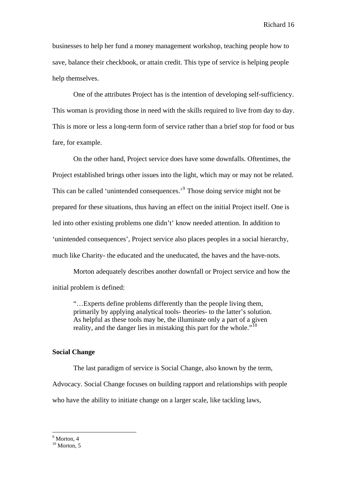businesses to help her fund a money management workshop, teaching people how to save, balance their checkbook, or attain credit. This type of service is helping people help themselves.

 One of the attributes Project has is the intention of developing self-sufficiency. This woman is providing those in need with the skills required to live from day to day. This is more or less a long-term form of service rather than a brief stop for food or bus fare, for example.

On the other hand, Project service does have some downfalls. Oftentimes, the Project established brings other issues into the light, which may or may not be related. This can be called 'unintended consequences.'<sup>[9](#page-16-0)</sup> Those doing service might not be prepared for these situations, thus having an effect on the initial Project itself. One is led into other existing problems one didn't' know needed attention. In addition to 'unintended consequences', Project service also places peoples in a social hierarchy, much like Charity- the educated and the uneducated, the haves and the have-nots.

Morton adequately describes another downfall or Project service and how the initial problem is defined:

"…Experts define problems differently than the people living them, primarily by applying analytical tools- theories- to the latter's solution. As helpful as these tools may be, the illuminate only a part of a given reality, and the danger lies in mistaking this part for the whole."<sup>[10](#page-16-1)</sup>

#### **Social Change**

The last paradigm of service is Social Change, also known by the term,

Advocacy. Social Change focuses on building rapport and relationships with people

who have the ability to initiate change on a larger scale, like tackling laws,

<sup>9</sup> Morton, 4

<span id="page-16-1"></span><span id="page-16-0"></span> $10$  Morton, 5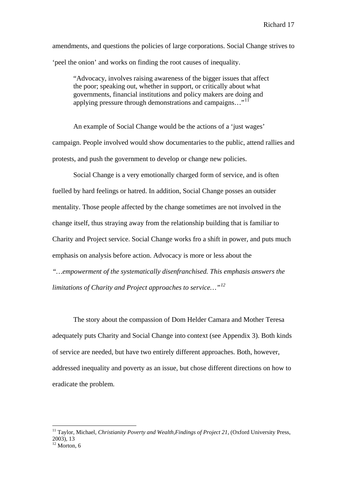amendments, and questions the policies of large corporations. Social Change strives to 'peel the onion' and works on finding the root causes of inequality.

"Advocacy, involves raising awareness of the bigger issues that affect the poor; speaking out, whether in support, or critically about what governments, financial institutions and policy makers are doing and applying pressure through demonstrations and campaigns..."<sup>[11](#page-17-0)</sup>

An example of Social Change would be the actions of a 'just wages' campaign. People involved would show documentaries to the public, attend rallies and protests, and push the government to develop or change new policies.

Social Change is a very emotionally charged form of service, and is often fuelled by hard feelings or hatred. In addition, Social Change posses an outsider mentality. Those people affected by the change sometimes are not involved in the change itself, thus straying away from the relationship building that is familiar to Charity and Project service. Social Change works fro a shift in power, and puts much emphasis on analysis before action. Advocacy is more or less about the

*"…empowerment of the systematically disenfranchised. This emphasis answers the limitations of Charity and Project approaches to service…"[12](#page-17-1)*

 The story about the compassion of Dom Helder Camara and Mother Teresa adequately puts Charity and Social Change into context (see Appendix 3). Both kinds of service are needed, but have two entirely different approaches. Both, however, addressed inequality and poverty as an issue, but chose different directions on how to eradicate the problem.

<span id="page-17-0"></span><sup>&</sup>lt;sup>11</sup> Taylor, Michael, *Christianity Poverty and Wealth, Findings of Project 21*, (Oxford University Press, 2003), 13

<span id="page-17-1"></span> $12$  Morton, 6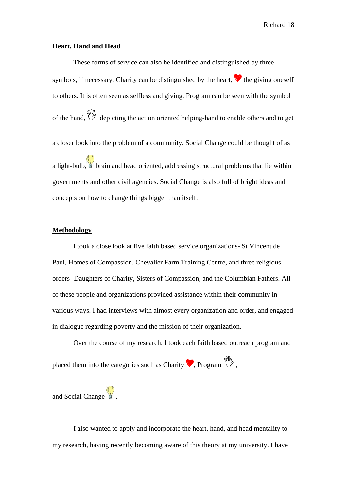#### **Heart, Hand and Head**

 These forms of service can also be identified and distinguished by three symbols, if necessary. Charity can be distinguished by the heart.  $\bullet$  the giving oneself to others. It is often seen as selfless and giving. Program can be seen with the symbol of the hand,  $\mathbb{W}$  depicting the action oriented helping-hand to enable others and to get a closer look into the problem of a community. Social Change could be thought of as a light-bulb,  $\mathbf b$  brain and head oriented, addressing structural problems that lie within governments and other civil agencies. Social Change is also full of bright ideas and concepts on how to change things bigger than itself.

#### **Methodology**

 I took a close look at five faith based service organizations- St Vincent de Paul, Homes of Compassion, Chevalier Farm Training Centre, and three religious orders- Daughters of Charity, Sisters of Compassion, and the Columbian Fathers. All of these people and organizations provided assistance within their community in various ways. I had interviews with almost every organization and order, and engaged in dialogue regarding poverty and the mission of their organization.

Over the course of my research, I took each faith based outreach program and placed them into the categories such as Charity  $\bullet$ , Program  $\mathbb{W}$ .

and Social Change

 I also wanted to apply and incorporate the heart, hand, and head mentality to my research, having recently becoming aware of this theory at my university. I have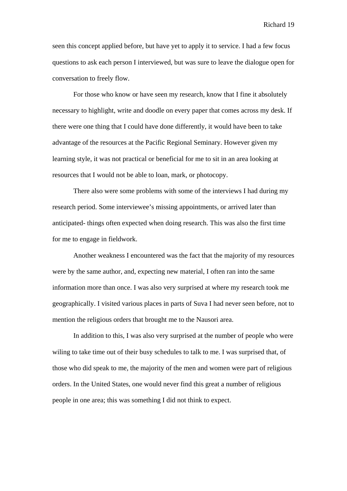seen this concept applied before, but have yet to apply it to service. I had a few focus questions to ask each person I interviewed, but was sure to leave the dialogue open for conversation to freely flow.

 For those who know or have seen my research, know that I fine it absolutely necessary to highlight, write and doodle on every paper that comes across my desk. If there were one thing that I could have done differently, it would have been to take advantage of the resources at the Pacific Regional Seminary. However given my learning style, it was not practical or beneficial for me to sit in an area looking at resources that I would not be able to loan, mark, or photocopy.

 There also were some problems with some of the interviews I had during my research period. Some interviewee's missing appointments, or arrived later than anticipated- things often expected when doing research. This was also the first time for me to engage in fieldwork.

Another weakness I encountered was the fact that the majority of my resources were by the same author, and, expecting new material, I often ran into the same information more than once. I was also very surprised at where my research took me geographically. I visited various places in parts of Suva I had never seen before, not to mention the religious orders that brought me to the Nausori area.

In addition to this, I was also very surprised at the number of people who were wiling to take time out of their busy schedules to talk to me. I was surprised that, of those who did speak to me, the majority of the men and women were part of religious orders. In the United States, one would never find this great a number of religious people in one area; this was something I did not think to expect.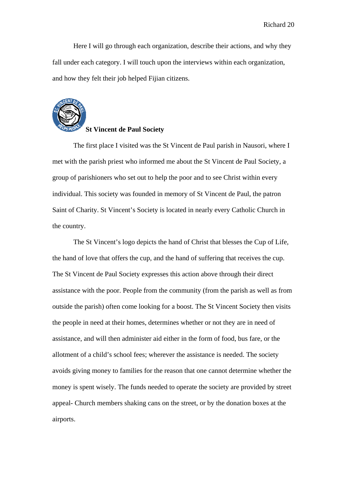Here I will go through each organization, describe their actions, and why they fall under each category. I will touch upon the interviews within each organization, and how they felt their job helped Fijian citizens.



#### **St Vincent de Paul Society**

 The first place I visited was the St Vincent de Paul parish in Nausori, where I met with the parish priest who informed me about the St Vincent de Paul Society, a group of parishioners who set out to help the poor and to see Christ within every individual. This society was founded in memory of St Vincent de Paul, the patron Saint of Charity. St Vincent's Society is located in nearly every Catholic Church in the country.

 The St Vincent's logo depicts the hand of Christ that blesses the Cup of Life, the hand of love that offers the cup, and the hand of suffering that receives the cup. The St Vincent de Paul Society expresses this action above through their direct assistance with the poor. People from the community (from the parish as well as from outside the parish) often come looking for a boost. The St Vincent Society then visits the people in need at their homes, determines whether or not they are in need of assistance, and will then administer aid either in the form of food, bus fare, or the allotment of a child's school fees; wherever the assistance is needed. The society avoids giving money to families for the reason that one cannot determine whether the money is spent wisely. The funds needed to operate the society are provided by street appeal- Church members shaking cans on the street, or by the donation boxes at the airports.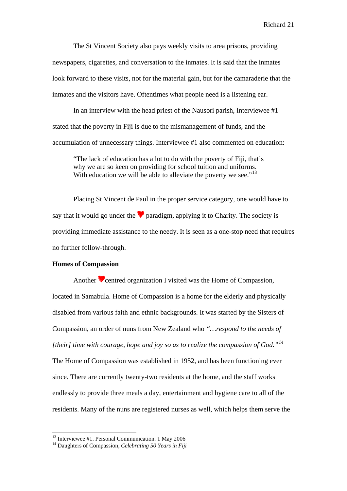The St Vincent Society also pays weekly visits to area prisons, providing newspapers, cigarettes, and conversation to the inmates. It is said that the inmates look forward to these visits, not for the material gain, but for the camaraderie that the inmates and the visitors have. Oftentimes what people need is a listening ear.

 In an interview with the head priest of the Nausori parish, Interviewee #1 stated that the poverty in Fiji is due to the mismanagement of funds, and the accumulation of unnecessary things. Interviewee #1 also commented on education:

"The lack of education has a lot to do with the poverty of Fiji, that's why we are so keen on providing for school tuition and uniforms. With education we will be able to alleviate the poverty we see."<sup>[13](#page-21-0)</sup>

Placing St Vincent de Paul in the proper service category, one would have to say that it would go under the  $\bullet$  paradigm, applying it to Charity. The society is providing immediate assistance to the needy. It is seen as a one-stop need that requires no further follow-through.

#### **Homes of Compassion**

 $\overline{a}$ 

Another  $\triangledown$  centred organization I visited was the Home of Compassion, located in Samabula. Home of Compassion is a home for the elderly and physically disabled from various faith and ethnic backgrounds. It was started by the Sisters of Compassion, an order of nuns from New Zealand who *"…respond to the needs of [their] time with courage, hope and joy so as to realize the compassion of God."[14](#page-21-1)* The Home of Compassion was established in 1952, and has been functioning ever since. There are currently twenty-two residents at the home, and the staff works endlessly to provide three meals a day, entertainment and hygiene care to all of the residents. Many of the nuns are registered nurses as well, which helps them serve the

<span id="page-21-0"></span><sup>13</sup> Interviewee #1. Personal Communication. 1 May 2006

<span id="page-21-1"></span><sup>14</sup> Daughters of Compassion, *Celebrating 50 Years in Fiji*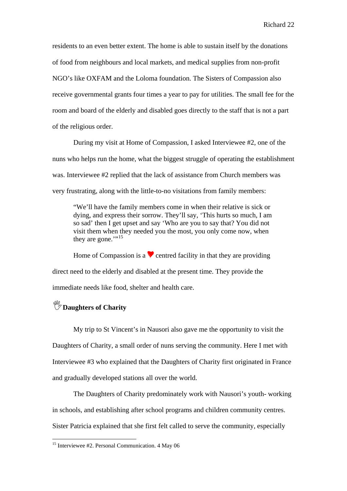residents to an even better extent. The home is able to sustain itself by the donations of food from neighbours and local markets, and medical supplies from non-profit NGO's like OXFAM and the Loloma foundation. The Sisters of Compassion also receive governmental grants four times a year to pay for utilities. The small fee for the room and board of the elderly and disabled goes directly to the staff that is not a part of the religious order.

 During my visit at Home of Compassion, I asked Interviewee #2, one of the nuns who helps run the home, what the biggest struggle of operating the establishment was. Interviewee #2 replied that the lack of assistance from Church members was very frustrating, along with the little-to-no visitations from family members:

"We'll have the family members come in when their relative is sick or dying, and express their sorrow. They'll say, 'This hurts so much, I am so sad' then I get upset and say 'Who are you to say that? You did not visit them when they needed you the most, you only come now, when they are gone." $15$ 

Home of Compassion is a  $\bullet$  centred facility in that they are providing direct need to the elderly and disabled at the present time. They provide the immediate needs like food, shelter and health care.

# *<u><sup>\\f{(i)}* **Daughters of Charity**</u></sup>

 $\overline{a}$ 

 My trip to St Vincent's in Nausori also gave me the opportunity to visit the Daughters of Charity, a small order of nuns serving the community. Here I met with Interviewee #3 who explained that the Daughters of Charity first originated in France and gradually developed stations all over the world.

The Daughters of Charity predominately work with Nausori's youth- working in schools, and establishing after school programs and children community centres. Sister Patricia explained that she first felt called to serve the community, especially

<span id="page-22-0"></span><sup>&</sup>lt;sup>15</sup> Interviewee #2. Personal Communication. 4 May 06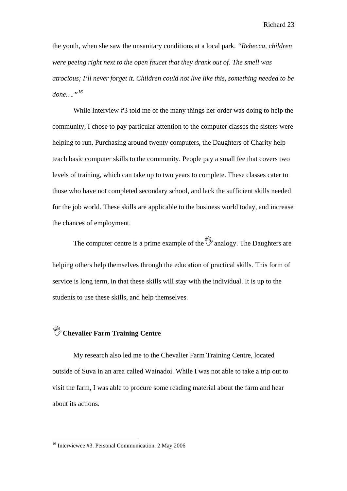the youth, when she saw the unsanitary conditions at a local park. *"Rebecca, children were peeing right next to the open faucet that they drank out of. The smell was atrocious; I'll never forget it. Children could not live like this, something needed to be done…."[16](#page-23-0)*

While Interview #3 told me of the many things her order was doing to help the community, I chose to pay particular attention to the computer classes the sisters were helping to run. Purchasing around twenty computers, the Daughters of Charity help teach basic computer skills to the community. People pay a small fee that covers two levels of training, which can take up to two years to complete. These classes cater to those who have not completed secondary school, and lack the sufficient skills needed for the job world. These skills are applicable to the business world today, and increase the chances of employment.

The computer centre is a prime example of the  $\mathbb{W}$  analogy. The Daughters are helping others help themselves through the education of practical skills. This form of service is long term, in that these skills will stay with the individual. It is up to the students to use these skills, and help themselves.

# ,**Chevalier Farm Training Centre**

 My research also led me to the Chevalier Farm Training Centre, located outside of Suva in an area called Wainadoi. While I was not able to take a trip out to visit the farm, I was able to procure some reading material about the farm and hear about its actions.

<span id="page-23-0"></span><sup>&</sup>lt;sup>16</sup> Interviewee #3. Personal Communication. 2 May 2006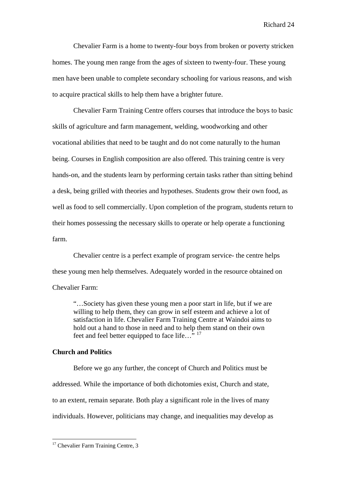Chevalier Farm is a home to twenty-four boys from broken or poverty stricken homes. The young men range from the ages of sixteen to twenty-four. These young men have been unable to complete secondary schooling for various reasons, and wish to acquire practical skills to help them have a brighter future.

Chevalier Farm Training Centre offers courses that introduce the boys to basic skills of agriculture and farm management, welding, woodworking and other vocational abilities that need to be taught and do not come naturally to the human being. Courses in English composition are also offered. This training centre is very hands-on, and the students learn by performing certain tasks rather than sitting behind a desk, being grilled with theories and hypotheses. Students grow their own food, as well as food to sell commercially. Upon completion of the program, students return to their homes possessing the necessary skills to operate or help operate a functioning farm.

Chevalier centre is a perfect example of program service- the centre helps these young men help themselves. Adequately worded in the resource obtained on Chevalier Farm:

"…Society has given these young men a poor start in life, but if we are willing to help them, they can grow in self esteem and achieve a lot of satisfaction in life. Chevalier Farm Training Centre at Waindoi aims to hold out a hand to those in need and to help them stand on their own feet and feel better equipped to face life..."<sup>[17](#page-24-0)</sup>

#### **Church and Politics**

Before we go any further, the concept of Church and Politics must be addressed. While the importance of both dichotomies exist, Church and state, to an extent, remain separate. Both play a significant role in the lives of many individuals. However, politicians may change, and inequalities may develop as

<span id="page-24-0"></span><sup>&</sup>lt;sup>17</sup> Chevalier Farm Training Centre, 3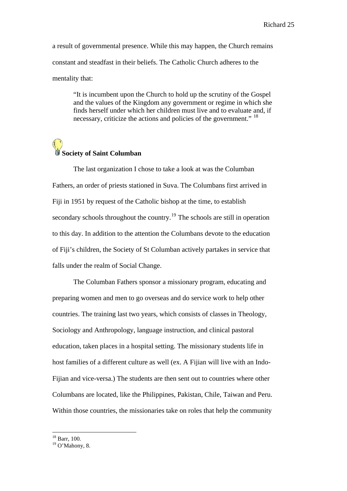a result of governmental presence. While this may happen, the Church remains constant and steadfast in their beliefs. The Catholic Church adheres to the mentality that:

"It is incumbent upon the Church to hold up the scrutiny of the Gospel and the values of the Kingdom any government or regime in which she finds herself under which her children must live and to evaluate and, if necessary, criticize the actions and policies of the government." <sup>[18](#page-25-0)</sup>

# **Society of Saint Columban**

 The last organization I chose to take a look at was the Columban Fathers, an order of priests stationed in Suva. The Columbans first arrived in Fiji in 1951 by request of the Catholic bishop at the time, to establish secondary schools throughout the country.<sup>[19](#page-25-1)</sup> The schools are still in operation to this day. In addition to the attention the Columbans devote to the education of Fiji's children, the Society of St Columban actively partakes in service that falls under the realm of Social Change.

 The Columban Fathers sponsor a missionary program, educating and preparing women and men to go overseas and do service work to help other countries. The training last two years, which consists of classes in Theology, Sociology and Anthropology, language instruction, and clinical pastoral education, taken places in a hospital setting. The missionary students life in host families of a different culture as well (ex. A Fijian will live with an Indo-Fijian and vice-versa.) The students are then sent out to countries where other Columbans are located, like the Philippines, Pakistan, Chile, Taiwan and Peru. Within those countries, the missionaries take on roles that help the community

<sup>&</sup>lt;sup>18</sup> Barr, 100.

<span id="page-25-1"></span><span id="page-25-0"></span> $19$  O'Mahony, 8.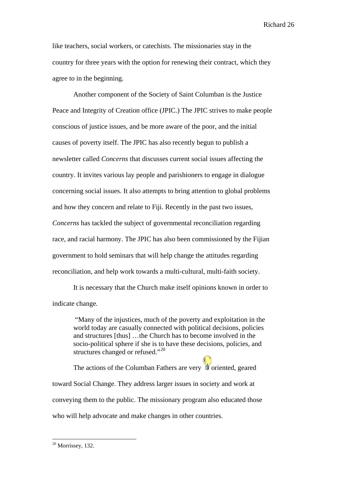like teachers, social workers, or catechists. The missionaries stay in the country for three years with the option for renewing their contract, which they agree to in the beginning.

 Another component of the Society of Saint Columban is the Justice Peace and Integrity of Creation office (JPIC.) The JPIC strives to make people conscious of justice issues, and be more aware of the poor, and the initial causes of poverty itself. The JPIC has also recently begun to publish a newsletter called *Concerns* that discusses current social issues affecting the country. It invites various lay people and parishioners to engage in dialogue concerning social issues. It also attempts to bring attention to global problems and how they concern and relate to Fiji. Recently in the past two issues, *Concerns* has tackled the subject of governmental reconciliation regarding race, and racial harmony. The JPIC has also been commissioned by the Fijian government to hold seminars that will help change the attitudes regarding reconciliation, and help work towards a multi-cultural, multi-faith society.

 It is necessary that the Church make itself opinions known in order to indicate change*.* 

"Many of the injustices, much of the poverty and exploitation in the world today are casually connected with political decisions, policies and structures [thus] …the Church has to become involved in the socio-political sphere if she is to have these decisions, policies, and structures changed or refused."<sup>[20](#page-26-0)</sup>

The actions of the Columban Fathers are very  $\bullet$  oriented, geared toward Social Change. They address larger issues in society and work at conveying them to the public. The missionary program also educated those who will help advocate and make changes in other countries.

<span id="page-26-0"></span> $20$  Morrissey, 132.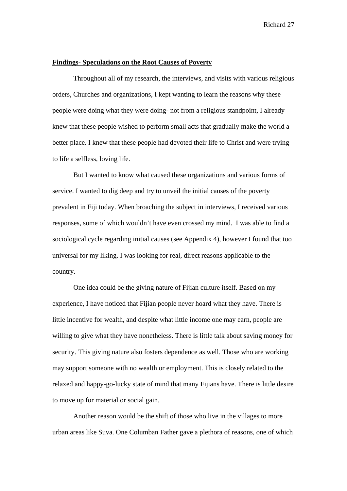#### **Findings- Speculations on the Root Causes of Poverty**

 Throughout all of my research, the interviews, and visits with various religious orders, Churches and organizations, I kept wanting to learn the reasons why these people were doing what they were doing- not from a religious standpoint, I already knew that these people wished to perform small acts that gradually make the world a better place. I knew that these people had devoted their life to Christ and were trying to life a selfless, loving life.

 But I wanted to know what caused these organizations and various forms of service. I wanted to dig deep and try to unveil the initial causes of the poverty prevalent in Fiji today. When broaching the subject in interviews, I received various responses, some of which wouldn't have even crossed my mind. I was able to find a sociological cycle regarding initial causes (see Appendix 4), however I found that too universal for my liking. I was looking for real, direct reasons applicable to the country.

 One idea could be the giving nature of Fijian culture itself. Based on my experience, I have noticed that Fijian people never hoard what they have. There is little incentive for wealth, and despite what little income one may earn, people are willing to give what they have nonetheless. There is little talk about saving money for security. This giving nature also fosters dependence as well. Those who are working may support someone with no wealth or employment. This is closely related to the relaxed and happy-go-lucky state of mind that many Fijians have. There is little desire to move up for material or social gain.

Another reason would be the shift of those who live in the villages to more urban areas like Suva. One Columban Father gave a plethora of reasons, one of which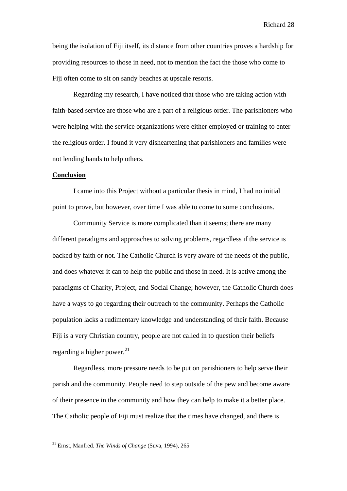being the isolation of Fiji itself, its distance from other countries proves a hardship for providing resources to those in need, not to mention the fact the those who come to Fiji often come to sit on sandy beaches at upscale resorts.

Regarding my research, I have noticed that those who are taking action with faith-based service are those who are a part of a religious order. The parishioners who were helping with the service organizations were either employed or training to enter the religious order. I found it very disheartening that parishioners and families were not lending hands to help others.

#### **Conclusion**

 $\overline{a}$ 

I came into this Project without a particular thesis in mind, I had no initial point to prove, but however, over time I was able to come to some conclusions.

Community Service is more complicated than it seems; there are many different paradigms and approaches to solving problems, regardless if the service is backed by faith or not. The Catholic Church is very aware of the needs of the public, and does whatever it can to help the public and those in need. It is active among the paradigms of Charity, Project, and Social Change; however, the Catholic Church does have a ways to go regarding their outreach to the community. Perhaps the Catholic population lacks a rudimentary knowledge and understanding of their faith. Because Fiji is a very Christian country, people are not called in to question their beliefs regarding a higher power. $^{21}$  $^{21}$  $^{21}$ 

Regardless, more pressure needs to be put on parishioners to help serve their parish and the community. People need to step outside of the pew and become aware of their presence in the community and how they can help to make it a better place. The Catholic people of Fiji must realize that the times have changed, and there is

<span id="page-28-0"></span><sup>21</sup> Ernst, Manfred. *The Winds of Change* (Suva, 1994), 265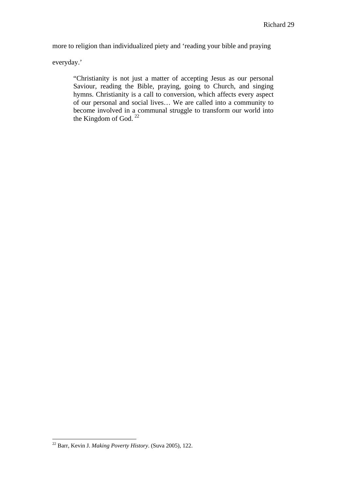more to religion than individualized piety and 'reading your bible and praying

everyday.'

"Christianity is not just a matter of accepting Jesus as our personal Saviour, reading the Bible, praying, going to Church, and singing hymns. Christianity is a call to conversion, which affects every aspect of our personal and social lives… We are called into a community to become involved in a communal struggle to transform our world into the Kingdom of God.  $22$ 

<span id="page-29-0"></span><sup>22</sup> Barr, Kevin J. *Making Poverty History*. (Suva 2005), 122.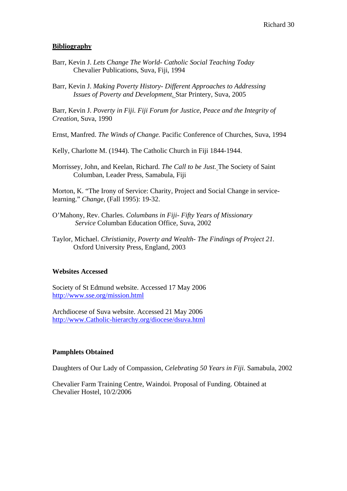### **Bibliography**

- Barr, Kevin J. *Lets Change The World- Catholic Social Teaching Today* Chevalier Publications, Suva, Fiji, 1994
- Barr, Kevin J. *Making Poverty History- Different Approaches to Addressing Issues of Poverty and Development*. Star Printery, Suva, 2005

Barr, Kevin J. *Poverty in Fiji. Fiji Forum for Justice, Peace and the Integrity of Creation*, Suva, 1990

Ernst, Manfred. *The Winds of Change.* Pacific Conference of Churches, Suva, 1994

Kelly, Charlotte M. (1944). The Catholic Church in Fiji 1844-1944.

Morrissey, John, and Keelan, Richard. *The Call to be Just.* The Society of Saint Columban, Leader Press, Samabula, Fiji

Morton, K. "The Irony of Service: Charity, Project and Social Change in servicelearning." *Change*, (Fall 1995): 19-32.

- O'Mahony, Rev. Charles. *Columbans in Fiji- Fifty Years of Missionary Service* Columban Education Office, Suva, 2002
- Taylor, Michael. *Christianity, Poverty and Wealth- The Findings of Project 21.* Oxford University Press, England, 2003

### **Websites Accessed**

Society of St Edmund website. Accessed 17 May 2006 <http://www.sse.org/mission.html>

Archdiocese of Suva website. Accessed 21 May 2006 [http://www.Catholic-hierarchy.org/diocese/dsuva.html](http://www.catholic-hierarchy.org/diocese/dsuva.html)

#### **Pamphlets Obtained**

Daughters of Our Lady of Compassion, *Celebrating 50 Years in Fiji.* Samabula, 2002

Chevalier Farm Training Centre, Waindoi. Proposal of Funding. Obtained at Chevalier Hostel, 10/2/2006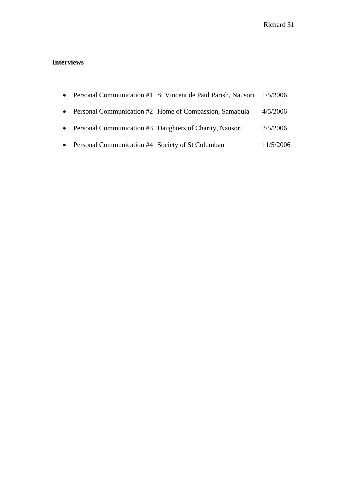# **Interviews**

|                                                    | • Personal Communication #1 St Vincent de Paul Parish, Nausori 1/5/2006 |           |
|----------------------------------------------------|-------------------------------------------------------------------------|-----------|
|                                                    | • Personal Communication #2 Home of Compassion, Samabula                | 4/5/2006  |
|                                                    | • Personal Communication #3 Daughters of Charity, Nausori               | 2/5/2006  |
| • Personal Communication #4 Society of St Columban |                                                                         | 11/5/2006 |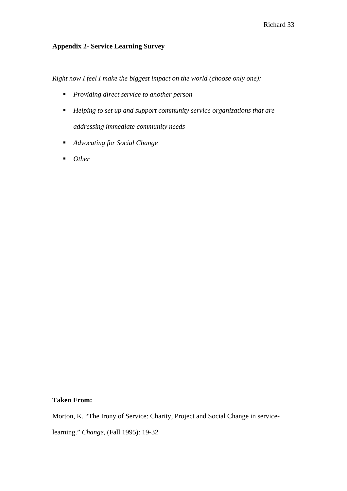## **Appendix 2- Service Learning Survey**

*Right now I feel I make the biggest impact on the world (choose only one):* 

- *Providing direct service to another person*
- *Helping to set up and support community service organizations that are addressing immediate community needs*
- *Advocating for Social Change*
- *Other*

## **Taken From:**

Morton, K. "The Irony of Service: Charity, Project and Social Change in service-

learning." *Change*, (Fall 1995): 19-32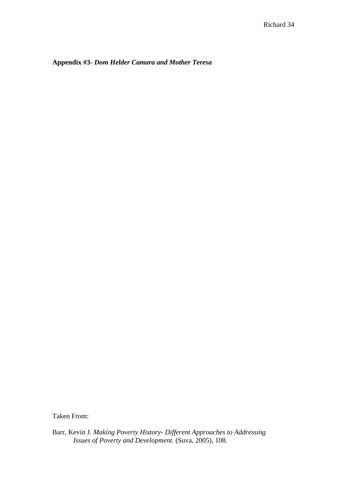**Appendix #3-** *Dom Helder Camara and Mother Teresa*

Taken From:

Barr, Kevin J. *Making Poverty History- Different Approaches to Addressing Issues of Poverty and Development*. (Suva, 2005), 108.